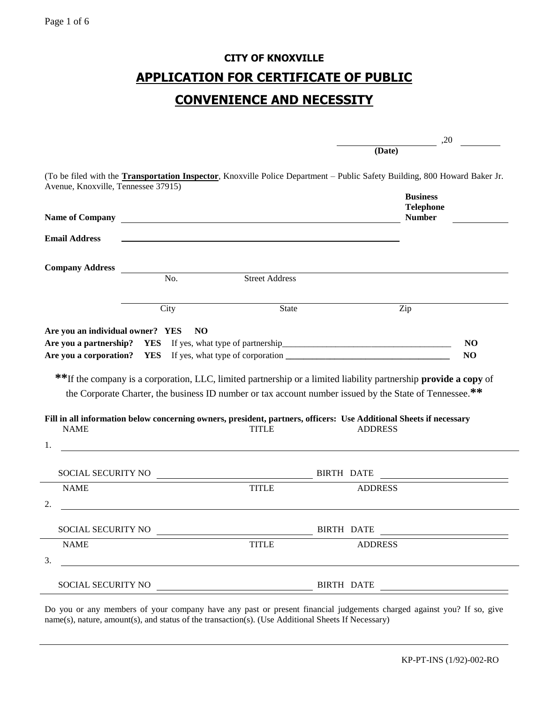# **CITY OF KNOXVILLE APPLICATION FOR CERTIFICATE OF PUBLIC CONVENIENCE AND NECESSITY**

|                                                                                   |                          |                       |                                                                                                                                                                                                                                                                                                                                                                      | ,20                  |
|-----------------------------------------------------------------------------------|--------------------------|-----------------------|----------------------------------------------------------------------------------------------------------------------------------------------------------------------------------------------------------------------------------------------------------------------------------------------------------------------------------------------------------------------|----------------------|
|                                                                                   |                          |                       | (Date)                                                                                                                                                                                                                                                                                                                                                               |                      |
| Avenue, Knoxville, Tennessee 37915)                                               |                          |                       | (To be filed with the Transportation Inspector, Knoxville Police Department – Public Safety Building, 800 Howard Baker Jr.<br><b>Business</b>                                                                                                                                                                                                                        |                      |
| <b>Name of Company</b>                                                            |                          |                       | <b>Telephone</b><br><b>Number</b>                                                                                                                                                                                                                                                                                                                                    |                      |
| <b>Email Address</b>                                                              |                          |                       |                                                                                                                                                                                                                                                                                                                                                                      |                      |
| <b>Company Address</b>                                                            |                          |                       |                                                                                                                                                                                                                                                                                                                                                                      |                      |
|                                                                                   | No.                      | <b>Street Address</b> |                                                                                                                                                                                                                                                                                                                                                                      |                      |
|                                                                                   | City                     | <b>State</b>          | Zip                                                                                                                                                                                                                                                                                                                                                                  |                      |
|                                                                                   |                          |                       |                                                                                                                                                                                                                                                                                                                                                                      |                      |
| <b>NAME</b>                                                                       | <b>YES</b><br><b>YES</b> | <b>TITLE</b>          | ** If the company is a corporation, LLC, limited partnership or a limited liability partnership provide a copy of<br>the Corporate Charter, the business ID number or tax account number issued by the State of Tennessee.**<br>Fill in all information below concerning owners, president, partners, officers: Use Additional Sheets if necessary<br><b>ADDRESS</b> | NO<br>N <sub>O</sub> |
|                                                                                   |                          |                       |                                                                                                                                                                                                                                                                                                                                                                      |                      |
| SOCIAL SECURITY NO                                                                |                          |                       | BIRTH DATE                                                                                                                                                                                                                                                                                                                                                           |                      |
| <b>NAME</b>                                                                       |                          | <b>TITLE</b>          | <b>ADDRESS</b>                                                                                                                                                                                                                                                                                                                                                       |                      |
| SOCIAL SECURITY NO                                                                |                          |                       | BIRTH DATE                                                                                                                                                                                                                                                                                                                                                           |                      |
| Are you a partnership?<br>Are you a corporation?<br>1.<br>2.<br><b>NAME</b><br>3. |                          | <b>TITLE</b>          | <b>ADDRESS</b>                                                                                                                                                                                                                                                                                                                                                       |                      |

Do you or any members of your company have any past or present financial judgements charged against you? If so, give name(s), nature, amount(s), and status of the transaction(s). (Use Additional Sheets If Necessary)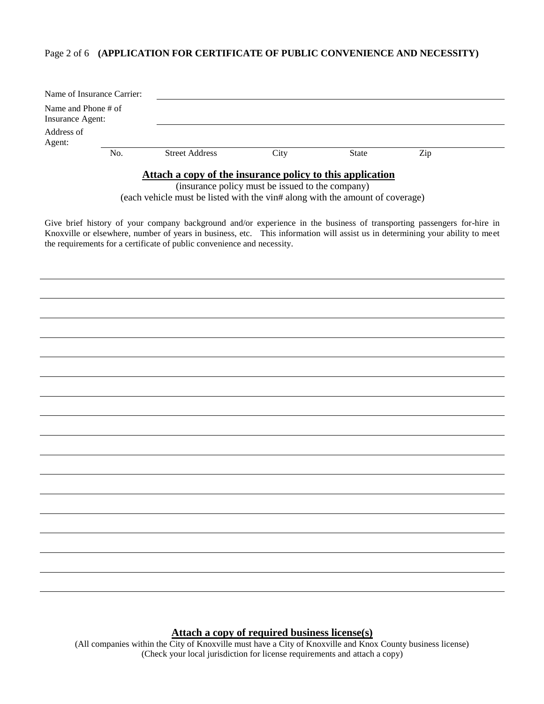#### Page 2 of 6 **(APPLICATION FOR CERTIFICATE OF PUBLIC CONVENIENCE AND NECESSITY)**

| Name of Insurance Carrier:                                |     |                       |      |       |     |  |  |  |
|-----------------------------------------------------------|-----|-----------------------|------|-------|-----|--|--|--|
| Name and Phone # of<br>Insurance Agent:                   |     |                       |      |       |     |  |  |  |
| Address of<br>Agent:                                      |     |                       |      |       |     |  |  |  |
|                                                           | No. | <b>Street Address</b> | City | State | Zip |  |  |  |
| Attach a copy of the insurance policy to this application |     |                       |      |       |     |  |  |  |

(insurance policy must be issued to the company) (each vehicle must be listed with the vin# along with the amount of coverage)

Give brief history of your company background and/or experience in the business of transporting passengers for-hire in Knoxville or elsewhere, number of years in business, etc. This information will assist us in determining your ability to meet the requirements for a certificate of public convenience and necessity.

**Attach a copy of required business license(s)**

(All companies within the City of Knoxville must have a City of Knoxville and Knox County business license) (Check your local jurisdiction for license requirements and attach a copy)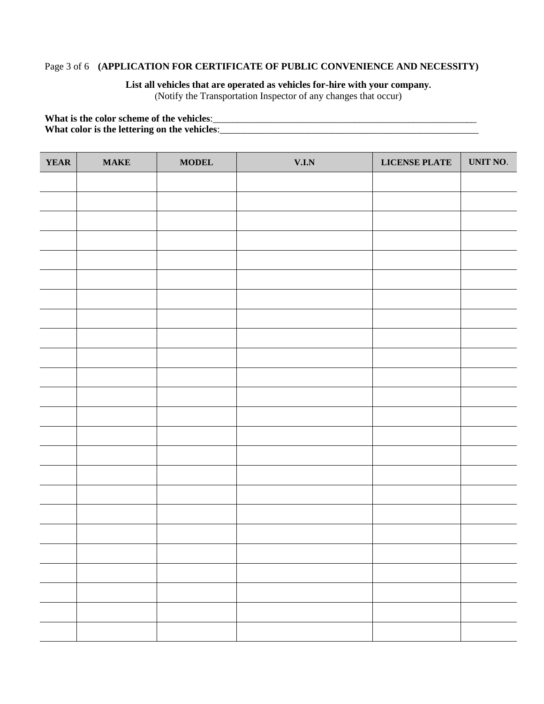# Page 3 of 6 **(APPLICATION FOR CERTIFICATE OF PUBLIC CONVENIENCE AND NECESSITY)**

# **List all vehicles that are operated as vehicles for-hire with your company.**

(Notify the Transportation Inspector of any changes that occur)

**What is the color scheme of the vehicles**:\_\_\_\_\_\_\_\_\_\_\_\_\_\_\_\_\_\_\_\_\_\_\_\_\_\_\_\_\_\_\_\_\_\_\_\_\_\_\_\_\_\_\_\_\_\_\_\_\_\_\_\_\_\_ **What color is the lettering on the vehicles**:\_\_\_\_\_\_\_\_\_\_\_\_\_\_\_\_\_\_\_\_\_\_\_\_\_\_\_\_\_\_\_\_\_\_\_\_\_\_\_\_\_\_\_\_\_\_\_\_\_\_\_\_\_

| <b>YEAR</b> | $\mathbf{MAKE}$ | $\bf{MODEL}$ | $\mathbf{V}.\mathbf{I}.\mathbf{N}$ | LICENSE PLATE | UNIT NO. |
|-------------|-----------------|--------------|------------------------------------|---------------|----------|
|             |                 |              |                                    |               |          |
|             |                 |              |                                    |               |          |
|             |                 |              |                                    |               |          |
|             |                 |              |                                    |               |          |
|             |                 |              |                                    |               |          |
|             |                 |              |                                    |               |          |
|             |                 |              |                                    |               |          |
|             |                 |              |                                    |               |          |
|             |                 |              |                                    |               |          |
|             |                 |              |                                    |               |          |
|             |                 |              |                                    |               |          |
|             |                 |              |                                    |               |          |
|             |                 |              |                                    |               |          |
|             |                 |              |                                    |               |          |
|             |                 |              |                                    |               |          |
|             |                 |              |                                    |               |          |
|             |                 |              |                                    |               |          |
|             |                 |              |                                    |               |          |
|             |                 |              |                                    |               |          |
|             |                 |              |                                    |               |          |
|             |                 |              |                                    |               |          |
|             |                 |              |                                    |               |          |
|             |                 |              |                                    |               |          |
|             |                 |              |                                    |               |          |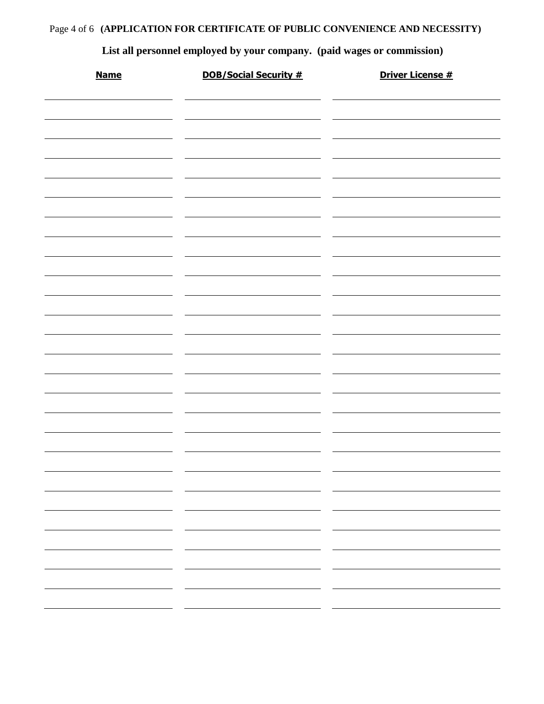# Page 4 of 6 **(APPLICATION FOR CERTIFICATE OF PUBLIC CONVENIENCE AND NECESSITY)**

| List all personnel employed by your company. (paid wages or commission) |                              |                         |  |  |  |  |  |  |  |
|-------------------------------------------------------------------------|------------------------------|-------------------------|--|--|--|--|--|--|--|
| <b>Name</b>                                                             | <b>DOB/Social Security #</b> | <b>Driver License #</b> |  |  |  |  |  |  |  |
|                                                                         |                              |                         |  |  |  |  |  |  |  |
|                                                                         |                              |                         |  |  |  |  |  |  |  |
|                                                                         |                              |                         |  |  |  |  |  |  |  |
|                                                                         |                              |                         |  |  |  |  |  |  |  |
|                                                                         |                              |                         |  |  |  |  |  |  |  |
|                                                                         |                              |                         |  |  |  |  |  |  |  |
|                                                                         |                              |                         |  |  |  |  |  |  |  |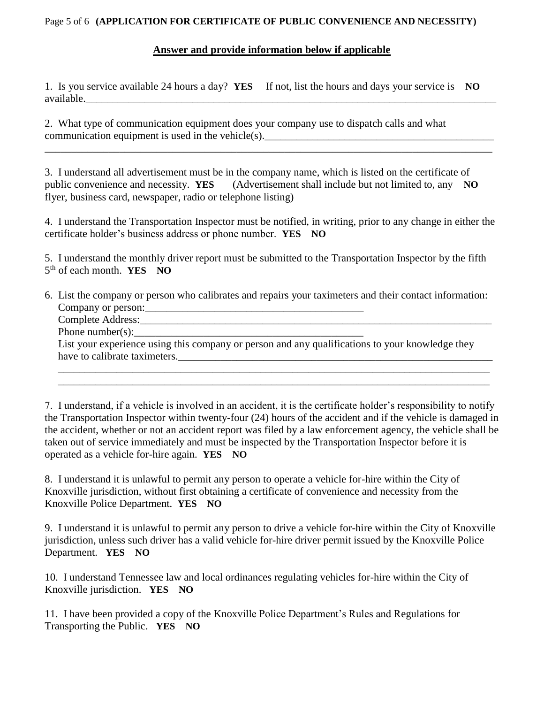#### Page 5 of 6 **(APPLICATION FOR CERTIFICATE OF PUBLIC CONVENIENCE AND NECESSITY)**

#### **Answer and provide information below if applicable**

1. Is you service available 24 hours a day? **YES** If not, list the hours and days your service is **NO**  available.

2. What type of communication equipment does your company use to dispatch calls and what communication equipment is used in the vehicle(s).

3. I understand all advertisement must be in the company name, which is listed on the certificate of public convenience and necessity. **YES** (Advertisement shall include but not limited to, any **NO**  flyer, business card, newspaper, radio or telephone listing)

\_\_\_\_\_\_\_\_\_\_\_\_\_\_\_\_\_\_\_\_\_\_\_\_\_\_\_\_\_\_\_\_\_\_\_\_\_\_\_\_\_\_\_\_\_\_\_\_\_\_\_\_\_\_\_\_\_\_\_\_\_\_\_\_\_\_\_\_\_\_\_\_\_\_\_\_\_\_\_\_\_\_\_\_

4. I understand the Transportation Inspector must be notified, in writing, prior to any change in either the certificate holder's business address or phone number. **YES NO** 

5. I understand the monthly driver report must be submitted to the Transportation Inspector by the fifth 5<sup>th</sup> of each month. **YES** NO

6. List the company or person who calibrates and repairs your taximeters and their contact information: Company or person:\_\_\_\_\_\_\_\_\_\_\_\_\_\_\_\_\_\_\_\_\_\_\_\_\_\_\_\_\_\_\_\_\_\_\_\_\_\_\_\_\_ Complete Address:\_\_\_\_\_\_\_\_\_\_\_\_\_\_\_\_\_\_\_\_\_\_\_\_\_\_\_\_\_\_\_\_\_\_\_\_\_\_\_\_\_\_\_\_\_\_\_\_\_\_\_\_\_\_\_\_\_\_\_\_\_\_\_\_\_\_ Phone number(s): List your experience using this company or person and any qualifications to your knowledge they

have to calibrate taximeters. \_\_\_\_\_\_\_\_\_\_\_\_\_\_\_\_\_\_\_\_\_\_\_\_\_\_\_\_\_\_\_\_\_\_\_\_\_\_\_\_\_\_\_\_\_\_\_\_\_\_\_\_\_\_\_\_\_\_\_\_\_\_\_\_\_\_\_\_\_\_\_\_\_\_\_\_\_\_\_\_\_

\_\_\_\_\_\_\_\_\_\_\_\_\_\_\_\_\_\_\_\_\_\_\_\_\_\_\_\_\_\_\_\_\_\_\_\_\_\_\_\_\_\_\_\_\_\_\_\_\_\_\_\_\_\_\_\_\_\_\_\_\_\_\_\_\_\_\_\_\_\_\_\_\_\_\_\_\_\_\_\_\_

7. I understand, if a vehicle is involved in an accident, it is the certificate holder's responsibility to notify the Transportation Inspector within twenty-four (24) hours of the accident and if the vehicle is damaged in the accident, whether or not an accident report was filed by a law enforcement agency, the vehicle shall be taken out of service immediately and must be inspected by the Transportation Inspector before it is operated as a vehicle for-hire again. **YES NO** 

8. I understand it is unlawful to permit any person to operate a vehicle for-hire within the City of Knoxville jurisdiction, without first obtaining a certificate of convenience and necessity from the Knoxville Police Department. **YES NO** 

9. I understand it is unlawful to permit any person to drive a vehicle for-hire within the City of Knoxville jurisdiction, unless such driver has a valid vehicle for-hire driver permit issued by the Knoxville Police Department. **YES NO** 

10. I understand Tennessee law and local ordinances regulating vehicles for-hire within the City of Knoxville jurisdiction. **YES NO** 

11. I have been provided a copy of the Knoxville Police Department's Rules and Regulations for Transporting the Public. **YES NO**